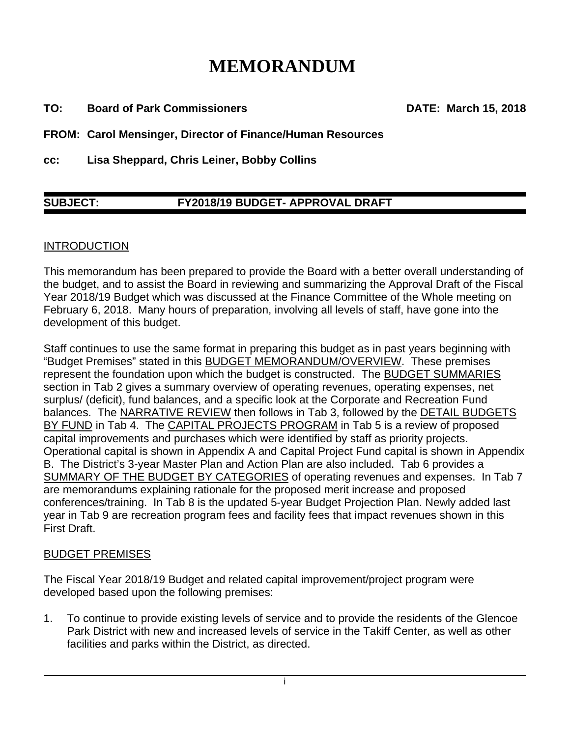# **MEMORANDUM**

**TO: Board of Park Commissioners DATE: March 15, 2018** 

**FROM: Carol Mensinger, Director of Finance/Human Resources** 

**cc: Lisa Sheppard, Chris Leiner, Bobby Collins** 

# **SUBJECT: FY2018/19 BUDGET- APPROVAL DRAFT**

## INTRODUCTION

This memorandum has been prepared to provide the Board with a better overall understanding of the budget, and to assist the Board in reviewing and summarizing the Approval Draft of the Fiscal Year 2018/19 Budget which was discussed at the Finance Committee of the Whole meeting on February 6, 2018. Many hours of preparation, involving all levels of staff, have gone into the development of this budget.

Staff continues to use the same format in preparing this budget as in past years beginning with "Budget Premises" stated in this BUDGET MEMORANDUM/OVERVIEW. These premises represent the foundation upon which the budget is constructed. The BUDGET SUMMARIES section in Tab 2 gives a summary overview of operating revenues, operating expenses, net surplus/ (deficit), fund balances, and a specific look at the Corporate and Recreation Fund balances. The NARRATIVE REVIEW then follows in Tab 3, followed by the DETAIL BUDGETS BY FUND in Tab 4. The CAPITAL PROJECTS PROGRAM in Tab 5 is a review of proposed capital improvements and purchases which were identified by staff as priority projects. Operational capital is shown in Appendix A and Capital Project Fund capital is shown in Appendix B. The District's 3-year Master Plan and Action Plan are also included. Tab 6 provides a SUMMARY OF THE BUDGET BY CATEGORIES of operating revenues and expenses. In Tab 7 are memorandums explaining rationale for the proposed merit increase and proposed conferences/training. In Tab 8 is the updated 5-year Budget Projection Plan. Newly added last year in Tab 9 are recreation program fees and facility fees that impact revenues shown in this First Draft.

#### BUDGET PREMISES

The Fiscal Year 2018/19 Budget and related capital improvement/project program were developed based upon the following premises:

1. To continue to provide existing levels of service and to provide the residents of the Glencoe Park District with new and increased levels of service in the Takiff Center, as well as other facilities and parks within the District, as directed.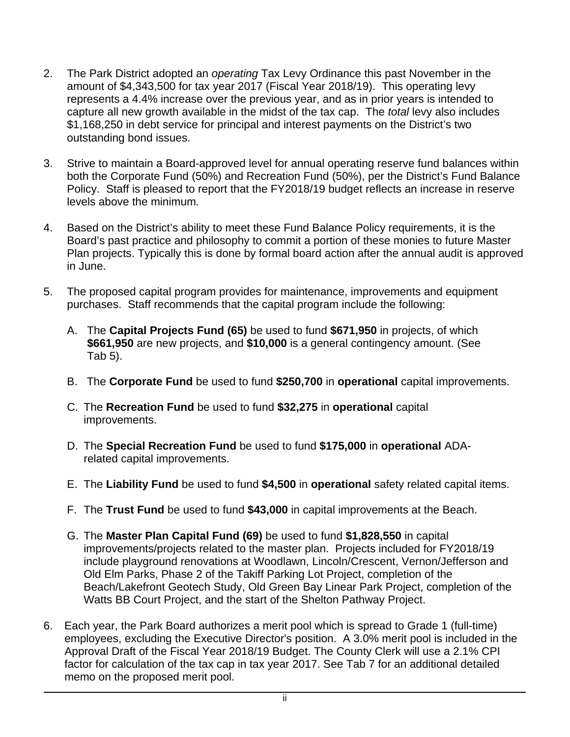- 2. The Park District adopted an *operating* Tax Levy Ordinance this past November in the amount of \$4,343,500 for tax year 2017 (Fiscal Year 2018/19). This operating levy represents a 4.4% increase over the previous year, and as in prior years is intended to capture all new growth available in the midst of the tax cap. The *total* levy also includes \$1,168,250 in debt service for principal and interest payments on the District's two outstanding bond issues.
- 3. Strive to maintain a Board-approved level for annual operating reserve fund balances within both the Corporate Fund (50%) and Recreation Fund (50%), per the District's Fund Balance Policy. Staff is pleased to report that the FY2018/19 budget reflects an increase in reserve levels above the minimum*.*
- 4. Based on the District's ability to meet these Fund Balance Policy requirements, it is the Board's past practice and philosophy to commit a portion of these monies to future Master Plan projects. Typically this is done by formal board action after the annual audit is approved in June.
- 5. The proposed capital program provides for maintenance, improvements and equipment purchases. Staff recommends that the capital program include the following:
	- A. The **Capital Projects Fund (65)** be used to fund **\$671,950** in projects, of which **\$661,950** are new projects, and **\$10,000** is a general contingency amount. (See Tab 5).
	- B. The **Corporate Fund** be used to fund **\$250,700** in **operational** capital improvements.
	- C. The **Recreation Fund** be used to fund **\$32,275** in **operational** capital improvements.
	- D. The **Special Recreation Fund** be used to fund **\$175,000** in **operational** ADArelated capital improvements.
	- E. The **Liability Fund** be used to fund **\$4,500** in **operational** safety related capital items.
	- F. The **Trust Fund** be used to fund **\$43,000** in capital improvements at the Beach.
	- G. The **Master Plan Capital Fund (69)** be used to fund **\$1,828,550** in capital improvements/projects related to the master plan. Projects included for FY2018/19 include playground renovations at Woodlawn, Lincoln/Crescent, Vernon/Jefferson and Old Elm Parks, Phase 2 of the Takiff Parking Lot Project, completion of the Beach/Lakefront Geotech Study, Old Green Bay Linear Park Project, completion of the Watts BB Court Project, and the start of the Shelton Pathway Project.
- 6. Each year, the Park Board authorizes a merit pool which is spread to Grade 1 (full-time) employees, excluding the Executive Director's position. A 3.0% merit pool is included in the Approval Draft of the Fiscal Year 2018/19 Budget. The County Clerk will use a 2.1% CPI factor for calculation of the tax cap in tax year 2017. See Tab 7 for an additional detailed memo on the proposed merit pool.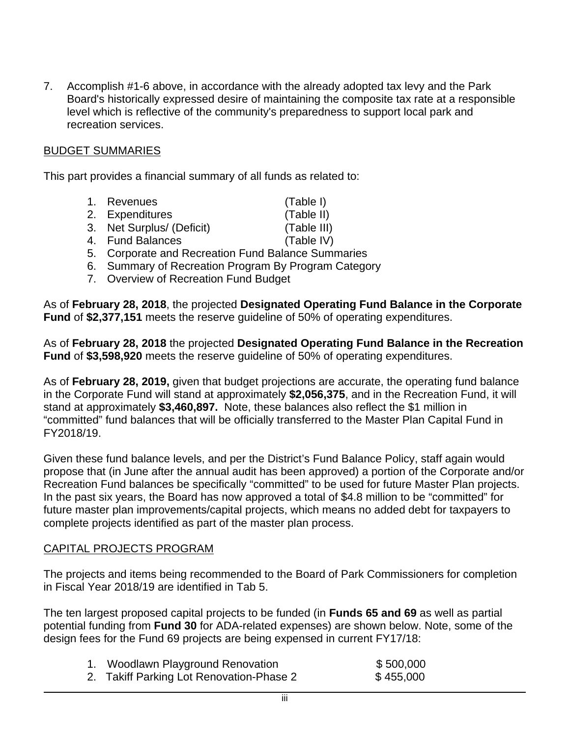7. Accomplish #1-6 above, in accordance with the already adopted tax levy and the Park Board's historically expressed desire of maintaining the composite tax rate at a responsible level which is reflective of the community's preparedness to support local park and recreation services.

# BUDGET SUMMARIES

This part provides a financial summary of all funds as related to:

- 1. Revenues (Table I)
- 2. Expenditures (Table II)

- 3. Net Surplus/ (Deficit) (Table III)
	-
- 4. Fund Balances (Table IV)
- 5. Corporate and Recreation Fund Balance Summaries
- 6. Summary of Recreation Program By Program Category
- 7. Overview of Recreation Fund Budget

As of **February 28, 2018**, the projected **Designated Operating Fund Balance in the Corporate Fund** of **\$2,377,151** meets the reserve guideline of 50% of operating expenditures.

As of **February 28, 2018** the projected **Designated Operating Fund Balance in the Recreation Fund** of **\$3,598,920** meets the reserve guideline of 50% of operating expenditures.

As of **February 28, 2019,** given that budget projections are accurate, the operating fund balance in the Corporate Fund will stand at approximately **\$2,056,375**, and in the Recreation Fund, it will stand at approximately **\$3,460,897.** Note, these balances also reflect the \$1 million in "committed" fund balances that will be officially transferred to the Master Plan Capital Fund in FY2018/19.

Given these fund balance levels, and per the District's Fund Balance Policy, staff again would propose that (in June after the annual audit has been approved) a portion of the Corporate and/or Recreation Fund balances be specifically "committed" to be used for future Master Plan projects. In the past six years, the Board has now approved a total of \$4.8 million to be "committed" for future master plan improvements/capital projects, which means no added debt for taxpayers to complete projects identified as part of the master plan process.

#### CAPITAL PROJECTS PROGRAM

The projects and items being recommended to the Board of Park Commissioners for completion in Fiscal Year 2018/19 are identified in Tab 5.

The ten largest proposed capital projects to be funded (in **Funds 65 and 69** as well as partial potential funding from **Fund 30** for ADA-related expenses) are shown below. Note, some of the design fees for the Fund 69 projects are being expensed in current FY17/18:

| 1. Woodlawn Playground Renovation        | \$500,000 |
|------------------------------------------|-----------|
| 2. Takiff Parking Lot Renovation-Phase 2 | \$455,000 |